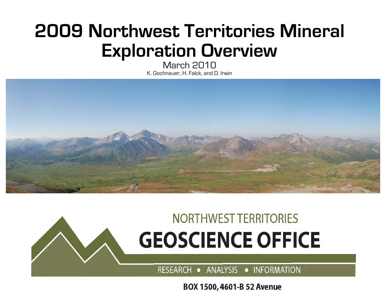## **2009 Northwest Territories Mineral Exploration Overview**

March 2010 K. Gochnauer, H. Falck, and D. Irwin



# **NORTHWEST TERRITORIES GEOSCIENCE OFFICE**

RESEARCH • ANALYSIS • INFORMATION

BOX 1500, 4601-B 52 Avenue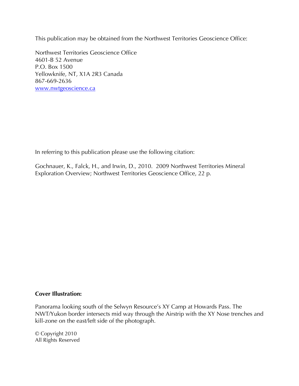This publication may be obtained from the Northwest Territories Geoscience Office:

Northwest Territories Geoscience Office 4601-B 52 Avenue P.O. Box 1500 Yellowknife, NT, X1A 2R3 Canada 867-669-2636 www.nwtgeoscience.ca

In referring to this publication please use the following citation:

Gochnauer, K., Falck, H., and Irwin, D., 2010. 2009 Northwest Territories Mineral Exploration Overview; Northwest Territories Geoscience Office, 22 p.

#### **Cover Illustration:**

Panorama looking south of the Selwyn Resource's XY Camp at Howards Pass. The NWT/Yukon border intersects mid way through the Airstrip with the XY Nose trenches and kill-zone on the east/left side of the photograph.

© Copyright 2010 All Rights Reserved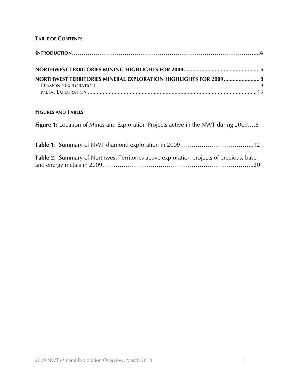## **TABLE OF CONTENTS**

| NORTHWEST TERRITORIES MINERAL EXPLORATION HIGHLIGHTS FOR 2009 8 |  |
|-----------------------------------------------------------------|--|
|                                                                 |  |
|                                                                 |  |

## **FIGURES AND TABLES**

**Figure 1:** Location of Mines and Exploration Projects active in the NWT during 2009….6

| Table 2: Summary of Northwest Territories active exploration projects of precious, base |  |
|-----------------------------------------------------------------------------------------|--|
|                                                                                         |  |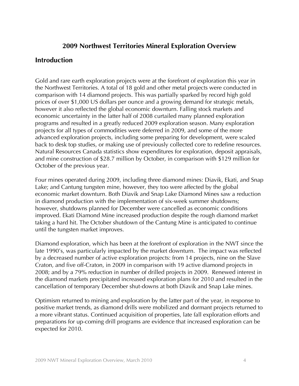## **2009 Northwest Territories Mineral Exploration Overview**

## **Introduction**

Gold and rare earth exploration projects were at the forefront of exploration this year in the Northwest Territories. A total of 18 gold and other metal projects were conducted in comparison with 14 diamond projects. This was partially sparked by record high gold prices of over \$1,000 US dollars per ounce and a growing demand for strategic metals, however it also reflected the global economic downturn. Falling stock markets and economic uncertainty in the latter half of 2008 curtailed many planned exploration programs and resulted in a greatly reduced 2009 exploration season. Many exploration projects for all types of commodities were deferred in 2009, and some of the more advanced exploration projects, including some preparing for development, were scaled back to desk top studies, or making use of previously collected core to redefine resources. Natural Resources Canada statistics show expenditures for exploration, deposit appraisals, and mine construction of \$28.7 million by October, in comparison with \$129 million for October of the previous year.

Four mines operated during 2009, including three diamond mines: Diavik, Ekati, and Snap Lake; and Cantung tungsten mine, however, they too were affected by the global economic market downturn. Both Diavik and Snap Lake Diamond Mines saw a reduction in diamond production with the implementation of six-week summer shutdowns; however, shutdowns planned for December were cancelled as economic conditions improved. Ekati Diamond Mine increased production despite the rough diamond market taking a hard hit. The October shutdown of the Cantung Mine is anticipated to continue until the tungsten market improves.

Diamond exploration, which has been at the forefront of exploration in the NWT since the late 1990's, was particularly impacted by the market downturn. The impact was reflected by a decreased number of active exploration projects: from 14 projects, nine on the Slave Craton, and five off-Craton, in 2009 in comparison with 19 active diamond projects in 2008; and by a 79% reduction in number of drilled projects in 2009. Renewed interest in the diamond markets precipitated increased exploration plans for 2010 and resulted in the cancellation of temporary December shut-downs at both Diavik and Snap Lake mines.

Optimism returned to mining and exploration by the latter part of the year, in response to positive market trends, as diamond drills were mobilized and dormant projects returned to a more vibrant status. Continued acquisition of properties, late fall exploration efforts and preparations for up-coming drill programs are evidence that increased exploration can be expected for 2010.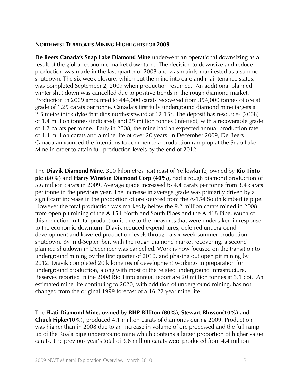#### **NORTHWEST TERRITORIES MINING HIGHLIGHTS FOR 2009**

**De Beers Canada's Snap Lake Diamond Mine** underwent an operational downsizing as a result of the global economic market downturn. The decision to downsize and reduce production was made in the last quarter of 2008 and was mainly manifested as a summer shutdown. The six week closure, which put the mine into care and maintenance status, was completed September 2, 2009 when production resumed. An additional planned winter shut down was cancelled due to positive trends in the rough diamond market. Production in 2009 amounted to 444,000 carats recovered from 354,000 tonnes of ore at grade of 1.25 carats per tonne. Canada's first fully underground diamond mine targets a 2.5 metre thick dyke that dips northeastward at 12-15°. The deposit has resources (2008) of 1.4 million tonnes (indicated) and 25 million tonnes (inferred), with a recoverable grade of 1.2 carats per tonne. Early in 2008, the mine had an expected annual production rate of 1.4 million carats and a mine life of over 20 years. In December 2009, De Beers Canada announced the intentions to commence a production ramp-up at the Snap Lake Mine in order to attain full production levels by the end of 2012.

The **Diavik Diamond Mine**, 300 kilometres northeast of Yellowknife, owned by **Rio Tinto plc (60%)** and **Harry Winston Diamond Corp (40%),** had a rough diamond production of 5.6 million carats in 2009. Average grade increased to 4.4 carats per tonne from 3.4 carats per tonne in the previous year. The increase in average grade was primarily driven by a significant increase in the proportion of ore sourced from the A-154 South kimberlite pipe. However the total production was markedly below the 9.2 million carats mined in 2008 from open pit mining of the A-154 North and South Pipes and the A-418 Pipe. Much of this reduction in total production is due to the measures that were undertaken in response to the economic downturn. Diavik reduced expenditures, deferred underground development and lowered production levels through a six-week summer production shutdown. By mid-September, with the rough diamond market recovering, a second planned shutdown in December was cancelled. Work is now focused on the transition to underground mining by the first quarter of 2010, and phasing out open pit mining by 2012. Diavik completed 20 kilometres of development workings in preparation for underground production, along with most of the related underground infrastructure. Reserves reported in the 2008 Rio Tinto annual report are 20 million tonnes at 3.1 cpt. An estimated mine life continuing to 2020, with addition of underground mining, has not changed from the original 1999 forecast of a 16-22 year mine life.

The **Ekati Diamond Mine,** owned by **BHP Billiton (80%), Stewart Blusson(10%)** and **Chuck Fipke(10%),** produced 4.1 million carats of diamonds during 2009. Production was higher than in 2008 due to an increase in volume of ore processed and the full ramp up of the Koala pipe underground mine which contains a larger proportion of higher value carats. The previous year's total of 3.6 million carats were produced from 4.4 million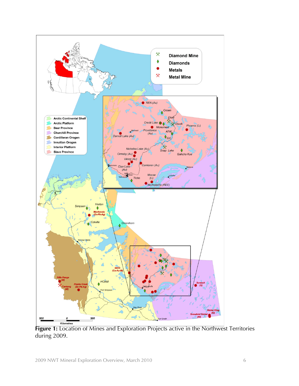

Figure 1: Location of Mines and Exploration Projects active in the Northwest Territories during 2009.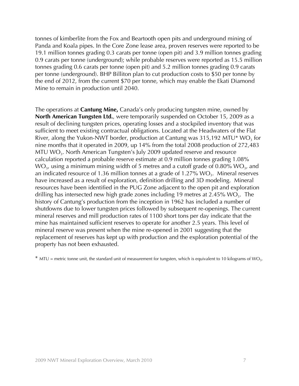tonnes of kimberlite from the Fox and Beartooth open pits and underground mining of Panda and Koala pipes. In the Core Zone lease area, proven reserves were reported to be 19.1 million tonnes grading 0.3 carats per tonne (open pit) and 3.9 million tonnes grading 0.9 carats per tonne (underground); while probable reserves were reported as 15.5 million tonnes grading 0.6 carats per tonne (open pit) and 5.2 million tonnes grading 0.9 carats per tonne (underground). BHP Billiton plan to cut production costs to \$50 per tonne by the end of 2012, from the current \$70 per tonne, which may enable the Ekati Diamond Mine to remain in production until 2040.

The operations at **Cantung Mine,** Canada's only producing tungsten mine, owned by **North American Tungsten Ltd.**, were temporarily suspended on October 15, 2009 as a result of declining tungsten prices, operating losses and a stockpiled inventory that was sufficient to meet existing contractual obligations. Located at the Headwaters of the Flat River, along the Yukon-NWT border, production at Cantung was  $315,192$  MTU\* WO<sub>3</sub> for nine months that it operated in 2009, up 14% from the total 2008 production of 272,483 MTU  $WO<sub>3</sub>$ . North American Tungsten's July 2009 updated reserve and resource calculation reported a probable reserve estimate at 0.9 million tonnes grading 1.08% WO<sub>3</sub>, using a minimum mining width of 5 metres and a cutoff grade of 0.80% WO<sub>3</sub>, and an indicated resource of 1.36 million tonnes at a grade of  $1.27\%$  WO<sub>3</sub>. Mineral reserves have increased as a result of exploration, definition drilling and 3D modeling. Mineral resources have been identified in the PUG Zone adjacent to the open pit and exploration drilling has intersected new high grade zones including 19 metres at  $2.45\%$  WO<sub>3</sub>. The history of Cantung's production from the inception in 1962 has included a number of shutdowns due to lower tungsten prices followed by subsequent re-openings. The current mineral reserves and mill production rates of 1100 short tons per day indicate that the mine has maintained sufficient reserves to operate for another 2.5 years. This level of mineral reserve was present when the mine re-opened in 2001 suggesting that the replacement of reserves has kept up with production and the exploration potential of the property has not been exhausted.

 $*$  MTU = metric tonne unit, the standard unit of measurement for tungsten, which is equivalent to 10 kilograms of WO<sub>3</sub>.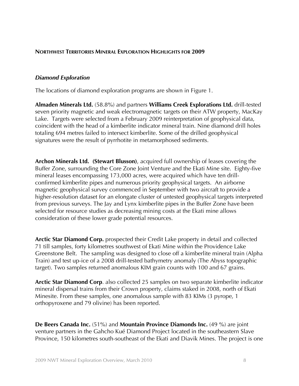#### **NORTHWEST TERRITORIES MINERAL EXPLORATION HIGHLIGHTS FOR 2009**

#### *Diamond Exploration*

The locations of diamond exploration programs are shown in Figure 1.

**Almaden Minerals Ltd.** (58.8%) and partners **Williams Creek Explorations Ltd.** drill-tested seven priority magnetic and weak electromagnetic targets on their ATW property, MacKay Lake. Targets were selected from a February 2009 reinterpretation of geophysical data, coincident with the head of a kimberlite indicator mineral train. Nine diamond drill holes totaling 694 metres failed to intersect kimberlite. Some of the drilled geophysical signatures were the result of pyrrhotite in metamorphosed sediments.

**Archon Minerals Ltd. (Stewart Blusson)**, acquired full ownership of leases covering the Buffer Zone, surrounding the Core Zone Joint Venture and the Ekati Mine site. Eighty-five mineral leases encompassing 173,000 acres, were acquired which have ten drillconfirmed kimberlite pipes and numerous priority geophysical targets. An airborne magnetic geophysical survey commenced in September with two aircraft to provide a higher-resolution dataset for an elongate cluster of untested geophysical targets interpreted from previous surveys. The Jay and Lynx kimberlite pipes in the Buffer Zone have been selected for resource studies as decreasing mining costs at the Ekati mine allows consideration of these lower grade potential resources.

**Arctic Star Diamond Corp.** prospected their Credit Lake property in detail and collected 71 till samples, forty kilometres southwest of Ekati Mine within the Providence Lake Greenstone Belt. The sampling was designed to close off a kimberlite mineral train (Alpha Train) and test up-ice of a 2008 drill-tested bathymetry anomaly (The Abyss topographic target). Two samples returned anomalous KIM grain counts with 100 and 67 grains.

**Arctic Star Diamond Corp**. also collected 25 samples on two separate kimberlite indicator mineral dispersal trains from their Crown property, claims staked in 2008, north of Ekati Minesite. From these samples, one anomalous sample with 83 KIMs (3 pyrope, 1 orthopyroxene and 79 olivine) has been reported.

**De Beers Canada Inc.** (51%) and **Mountain Province Diamonds Inc.** (49 %) are joint venture partners in the Gahcho Kué Diamond Project located in the southeastern Slave Province, 150 kilometres south-southeast of the Ekati and Diavik Mines. The project is one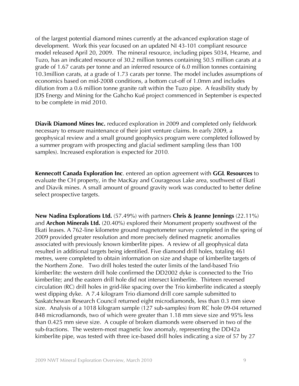of the largest potential diamond mines currently at the advanced exploration stage of development. Work this year focused on an updated NI 43-101 compliant resource model released April 20, 2009. The mineral resource, including pipes 5034, Hearne, and Tuzo, has an indicated resource of 30.2 million tonnes containing 50.5 million carats at a grade of 1.67 carats per tonne and an inferred resource of 6.0 million tonnes containing 10.3million carats, at a grade of 1.73 carats per tonne. The model includes assumptions of economics based on mid-2008 conditions, a bottom cut-off of 1.0mm and includes dilution from a 0.6 million tonne granite raft within the Tuzo pipe. A feasibility study by JDS Energy and Mining for the Gahcho Kué project commenced in September is expected to be complete in mid 2010.

**Diavik Diamond Mines Inc.** reduced exploration in 2009 and completed only fieldwork necessary to ensure maintenance of their joint venture claims. In early 2009, a geophysical review and a small ground geophysics program were completed followed by a summer program with prospecting and glacial sediment sampling (less than 100 samples). Increased exploration is expected for 2010.

**Kennecott Canada Exploration Inc**. entered an option agreement with **GGL Resources** to evaluate the CH property, in the MacKay and Courageous Lake area, southwest of Ekati and Diavik mines. A small amount of ground gravity work was conducted to better define select prospective targets.

**New Nadina Explorations Ltd.** (57.49%) with partners **Chris & Jeanne Jennings** (22.11%) and **Archon Minerals Ltd.** (20.40%) explored their Monument property southwest of the Ekati leases. A 762-line kilometre ground magnetometer survey completed in the spring of 2009 provided greater resolution and more precisely defined magnetic anomalies associated with previously known kimberlite pipes. A review of all geophysical data resulted in additional targets being identified. Five diamond drill holes, totaling 461 metres, were completed to obtain information on size and shape of kimberlite targets of the Northern Zone. Two drill holes tested the outer limits of the land-based Trio kimberlite: the western drill hole confirmed the DD2002 dyke is connected to the Trio kimberlite; and the eastern drill hole did not intersect kimberlite. Thirteen reversed circulation (RC) drill holes in grid-like spacing over the Trio kimberlite indicated a steeply west dipping dyke. A 7.4 kilogram Trio diamond drill core sample submitted to Saskatchewan Research Council returned eight microdiamonds, less than 0.3 mm sieve size. Analysis of a 1018 kilogram sample (127 sub-samples) from RC hole 09-04 returned 848 microdiamonds, two of which were greater than 1.18 mm sieve size and 95% less than 0.425 mm sieve size. A couple of broken diamonds were observed in two of the sub-fractions. The western-most magnetic low anomaly, representing the DD42a kimberlite pipe, was tested with three ice-based drill holes indicating a size of 57 by 27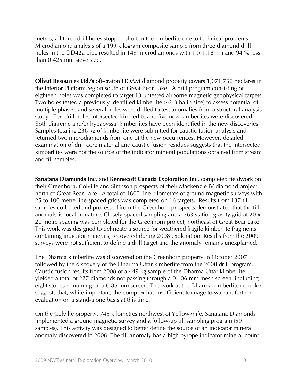metres; all three drill holes stopped short in the kimberlite due to technical problems. Microdiamond analysis of a 199 kilogram composite sample from three diamond drill holes in the DD42a pipe resulted in 149 microdiamonds with  $1 > 1.18$ mm and 94 % less than 0.425 mm sieve size.

**Olivut Resources Ltd.'s** off-craton HOAM diamond property covers 1,071,750 hectares in the Interior Platform region south of Great Bear Lake. A drill program consisting of eighteen holes was completed to target 13 untested airborne magnetic geophysical targets. Two holes tested a previously identified kimberlite (~2-3 ha in size) to assess potential of multiple phases; and several holes were drilled to test anomalies from a structural analysis study. Ten drill holes intersected kimberlite and five new kimberlites were discovered. Both diatreme and/or hypabyssal kimberlites have been identified in the new discoveries. Samples totaling 236 kg of kimberlite were submitted for caustic fusion analysis and returned two microdiamonds from one of the new occurrences. However, detailed examination of drill core material and caustic fusion residues suggests that the intersected kimberlites were not the source of the indicator mineral populations obtained from stream and till samples.

**Sanatana Diamonds Inc.** and **Kennecott Canada Exploration Inc.** completed fieldwork on their Greenhorn, Colville and Simpson prospects of their Mackenzie JV diamond project, north of Great Bear Lake. A total of 1600 line kilometres of ground magnetic surveys with 25 to 100 metre line-spaced grids was completed on 16 targets. Results from 137 till samples collected and processed from the Greenhorn prospects demonstrated that the till anomaly is local in nature. Closely-spaced sampling and a 763 station gravity grid at 20 x 20 metre spacing was completed for the Greenhorn project, northeast of Great Bear Lake. This work was designed to delineate a source for weathered fragile kimberlite fragments containing indicator minerals, recovered during 2008 exploration. Results from the 2009 surveys were not sufficient to define a drill target and the anomaly remains unexplained.

The Dharma kimberlite was discovered on the Greenhorn property in October 2007 followed by the discovery of the Dharma Uttar kimberlite from the 2008 drill program. Caustic fusion results from 2008 of a 449 kg sample of the Dharma Uttar kimberlite yielded a total of 227 diamonds not passing through a 0.106 mm mesh screen, including eight stones remaining on a 0.85 mm screen. The work at the Dharma kimberlite complex suggests that, while important, the complex has insufficient tonnage to warrant further evaluation on a stand-alone basis at this time.

On the Colville property, 745 kilometres northwest of Yellowknife, Sanatana Diamonds implemented a ground magnetic survey and a follow-up till sampling program (59 samples). This activity was designed to better define the source of an indicator mineral anomaly discovered in 2008. The till anomaly has a high pyrope indicator mineral count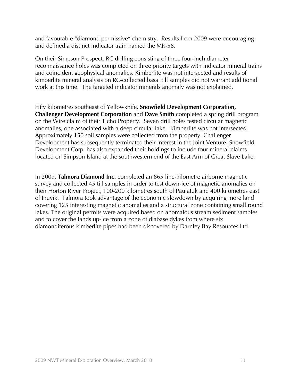and favourable "diamond permissive" chemistry. Results from 2009 were encouraging and defined a distinct indicator train named the MK-58.

On their Simpson Prospect, RC drilling consisting of three four-inch diameter reconnaissance holes was completed on three priority targets with indicator mineral trains and coincident geophysical anomalies. Kimberlite was not intersected and results of kimberlite mineral analysis on RC-collected basal till samples did not warrant additional work at this time. The targeted indicator minerals anomaly was not explained.

Fifty kilometres southeast of Yellowknife, **Snowfield Development Corporation, Challenger Development Corporation** and **Dave Smith** completed a spring drill program on the Wire claim of their Ticho Property. Seven drill holes tested circular magnetic anomalies, one associated with a deep circular lake. Kimberlite was not intersected. Approximately 150 soil samples were collected from the property. Challenger Development has subsequently terminated their interest in the Joint Venture. Snowfield Development Corp. has also expanded their holdings to include four mineral claims located on Simpson Island at the southwestern end of the East Arm of Great Slave Lake.

In 2009, **Talmora Diamond Inc.** completed an 865 line-kilometre airborne magnetic survey and collected 45 till samples in order to test down-ice of magnetic anomalies on their Horton River Project, 100-200 kilometres south of Paulatuk and 400 kilometres east of Inuvik. Talmora took advantage of the economic slowdown by acquiring more land covering 125 interesting magnetic anomalies and a structural zone containing small round lakes. The original permits were acquired based on anomalous stream sediment samples and to cover the lands up-ice from a zone of diabase dykes from where six diamondiferous kimberlite pipes had been discovered by Darnley Bay Resources Ltd.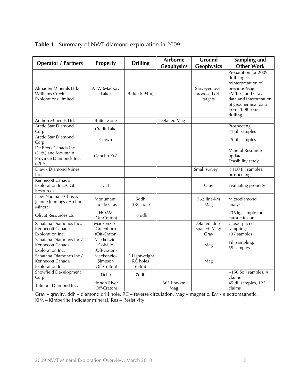| <b>Operator / Partners</b>                                                       | <b>Property</b>                          | <b>Drilling</b>                    | <b>Airborne</b>    | Ground                                     | Sampling and                                                                                                                                                                        |
|----------------------------------------------------------------------------------|------------------------------------------|------------------------------------|--------------------|--------------------------------------------|-------------------------------------------------------------------------------------------------------------------------------------------------------------------------------------|
|                                                                                  |                                          |                                    | <b>Geophysics</b>  | <b>Geophysics</b>                          | <b>Other Work</b>                                                                                                                                                                   |
| Almaden Minerals Ltd./<br>Williams Creek<br><b>Explorations Limited</b>          | ATW (MacKay<br>Lake)                     | 9 ddh (694m)                       |                    | Surveyed over<br>proposed drill<br>targets | Preparation for 2009<br>drill targets:<br>reinterpretation of<br>previous Mag,<br>EM/Res, and Grav<br>data and interpretation<br>of geochemical data<br>from 2008 sonic<br>drilling |
| Archon Minerals Ltd.                                                             | <b>Buffer Zone</b>                       |                                    | Detailed Mag       |                                            |                                                                                                                                                                                     |
| Arctic Star Diamond<br>Corp.                                                     | Credit Lake                              |                                    |                    |                                            | Prospecting<br>71 till samples                                                                                                                                                      |
| Arctic Star Diamond<br>Corp.                                                     | Crown                                    |                                    |                    |                                            | 25 till samples                                                                                                                                                                     |
| De Beers Canada Inc.<br>(51%) and Mountain<br>Province Diamonds Inc.<br>$(49\%)$ | Gahcho Kué                               |                                    |                    |                                            | Mineral Resource<br>update<br>Feasibility study                                                                                                                                     |
| <b>Diavik Diamond Mines</b><br>Inc.                                              |                                          |                                    |                    | Small survey                               | < 100 till samples,<br>prospecting                                                                                                                                                  |
| Kennecott Canada<br>Exploration Inc./GGL<br>Resources                            | <b>CH</b>                                |                                    |                    | Grav                                       | Evaluating property                                                                                                                                                                 |
| New Nadina / Chris &<br>Jeanne Jennings / Archon<br>Mineral                      | Monument,<br>Lac de Gras                 | 5ddh<br>13RC holes                 |                    | 762 line-km<br>Mag                         | Microdiamond<br>analysis                                                                                                                                                            |
| Olivut Resources Ltd.                                                            | <b>HOAM</b><br>(Off-Craton)              | 18 ddh                             |                    |                                            | 236 kg sample for<br>caustic fusion                                                                                                                                                 |
| Sanatana Diamonds Inc./<br>Kennecott Canada<br>Exploration Inc.                  | Mackenzie -<br>Greenhorn<br>(Off-Craton) |                                    |                    | Detailed close-<br>spaced Mag;<br>Grav     | Close-spaced<br>sampling;<br>137 samples                                                                                                                                            |
| Sanatana Diamonds Inc./<br>Kennecott Canada<br>Exploration Inc.                  | Mackenzie-<br>Colville<br>(Off-craton)   |                                    |                    | Mag                                        | Till sampling;<br>59 samples                                                                                                                                                        |
| Sanatana Diamonds Inc./<br>Kennecott Canada<br>Exploration Inc.                  | Mackenzie-<br>Simpson<br>(Off-Craton)    | 3 Lightweight<br>RC holes<br>(64m) |                    | Mag                                        |                                                                                                                                                                                     |
| Snowfield Development<br>Corp.                                                   | Ticho                                    | 7ddh                               |                    |                                            | $\overline{\sim}150$ Soil samples, 4<br>claims                                                                                                                                      |
| Talmora Diamond Inc.                                                             | <b>Horton River</b><br>(Off-Craton)      |                                    | 865 line-km<br>Mag |                                            | 45 till samples, 125<br>claims                                                                                                                                                      |

| Table 1: Summary of NWT diamond exploration in 2009 |  |
|-----------------------------------------------------|--|
|-----------------------------------------------------|--|

Grav – gravity, ddh – diamond drill hole, RC – reverse circulation, Mag – magnetic, EM - electromagnetic, KIM – Kimberlite indicator mineral, Res – Resistivity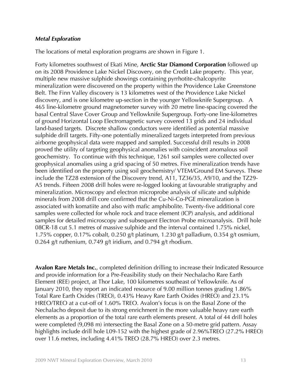#### *Metal Exploration*

The locations of metal exploration programs are shown in Figure 1.

Forty kilometres southwest of Ekati Mine, **Arctic Star Diamond Corporation** followed up on its 2008 Providence Lake Nickel Discovery, on the Credit Lake property. This year, multiple new massive sulphide showings containing pyrrhotite-chalcopyrite mineralization were discovered on the property within the Providence Lake Greenstone Belt. The Finn Valley discovery is 13 kilometres west of the Providence Lake Nickel discovery, and is one kilometre up-section in the younger Yellowknife Supergroup. A 465 line-kilometre ground magnetometer survey with 20 metre line-spacing covered the basal Central Slave Cover Group and Yellowknife Supergroup. Forty-one line-kilometres of ground Horizontal Loop Electromagnetic survey covered 13 grids and 24 individual land-based targets. Discrete shallow conductors were identified as potential massive sulphide drill targets. Fifty-one potentially mineralized targets interpreted from previous airborne geophysical data were mapped and sampled. Successful drill results in 2008 proved the utility of targeting geophysical anomalies with coincident anomalous soil geochemistry. To continue with this technique, 1261 soil samples were collected over geophysical anomalies using a grid spacing of 50 metres. Five mineralization trends have been identified on the property using soil geochemistry/ VTEM/Ground EM Surveys. These include the TZ28 extension of the Discovery trend, A11, TZ36/35, A9/10, and the TZ29- A5 trends. Fifteen 2008 drill holes were re-logged looking at favourable stratigraphy and mineralization. Microscopy and electron microprobe analysis of silicate and sulphide minerals from 2008 drill core confirmed that the Cu-Ni-Co-PGE mineralization is associated with komatiite and also with mafic amphibolite. Twenty-five additional core samples were collected for whole rock and trace element (ICP) analysis, and additional samples for detailed microscopy and subsequent Electron Probe microanalysis. Drill hole 08CR-18 cut 5.1 metres of massive sulphide and the interval contained 1.75% nickel, 1.75% copper, 0.17% cobalt, 0.250 g/t platinum, 1.230 g/t palladium, 0.354 g/t osmium, 0.264 g/t ruthenium, 0.749 g/t iridium, and 0.794 g/t rhodium.

**Avalon Rare Metals Inc.**, completed definition drilling to increase their Indicated Resource and provide information for a Pre-Feasibility study on their Nechalacho Rare Earth Element (REE) project, at Thor Lake, 100 kilometres southeast of Yellowknife. As of January 2010, they report an indicated resource of 9.00 million tonnes grading 1.86% Total Rare Earth Oxides (TREO), 0.43% Heavy Rare Earth Oxides (HREO) and 23.1% HREO/TREO at a cut-off of 1.60% TREO. Avalon's focus is on the Basal Zone of the Nechalacho deposit due to its strong enrichment in the more valuable heavy rare earth elements as a proportion of the total rare earth elements present. A total of 44 drill holes were completed (9,098 m) intersecting the Basal Zone on a 50-metre grid pattern. Assay highlights include drill hole L09-152 with the highest grade of 2.96%TREO (27.2% HREO) over 11.6 metres, including 4.41% TREO (28.7% HREO) over 2.3 metres.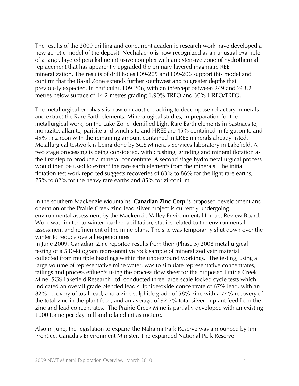The results of the 2009 drilling and concurrent academic research work have developed a new genetic model of the deposit. Nechalacho is now recognized as an unusual example of a large, layered peralkaline intrusive complex with an extensive zone of hydrothermal replacement that has apparently upgraded the primary layered magmatic REE mineralization. The results of drill holes L09-205 and L09-206 support this model and confirm that the Basal Zone extends further southwest and to greater depths that previously expected. In particular, L09-206, with an intercept between 249 and 263.2 metres below surface of 14.2 metres grading 1.90% TREO and 30% HREO/TREO.

The metallurgical emphasis is now on caustic cracking to decompose refractory minerals and extract the Rare Earth elements. Mineralogical studies, in preparation for the metallurgical work, on the Lake Zone identified Light Rare Earth elements in bastnaesite, monazite, allanite, parisite and synchisite and HREE are 45% contained in fergusonite and 45% in zircon with the remaining amount contained in LREE minerals already listed. Metallurgical testwork is being done by SGS Minerals Services laboratory in Lakefield. A two stage processing is being considered, with crushing, grinding and mineral flotation as the first step to produce a mineral concentrate. A second stage hydrometallurgical process would then be used to extract the rare earth elements from the minerals. The initial flotation test work reported suggests recoveries of 83% to 86% for the light rare earths, 75% to 82% for the heavy rare earths and 85% for zirconium.

In the southern Mackenzie Mountains, **Canadian Zinc Corp**.'s proposed development and operation of the Prairie Creek zinc-lead-silver project is currently undergoing environmental assessment by the Mackenzie Valley Environmental Impact Review Board. Work was limited to winter road rehabilitation, studies related to the environmental assessment and refinement of the mine plans. The site was temporarily shut down over the winter to reduce overall expenditures.

In June 2009, Canadian Zinc reported results from their (Phase 5) 2008 metallurgical testing of a 530-kilogram representative rock sample of mineralized vein material collected from multiple headings within the underground workings. The testing, using a large volume of representative mine water, was to simulate representative concentrates, tailings and process effluents using the process flow sheet for the proposed Prairie Creek Mine. SGS Lakefield Research Ltd. conducted three large-scale locked cycle tests which indicated an overall grade blended lead sulphide/oxide concentrate of 67% lead, with an 82% recovery of total lead, and a zinc sulphide grade of 58% zinc with a 74% recovery of the total zinc in the plant feed; and an average of 92.7% total silver in plant feed from the zinc and lead concentrates. The Prairie Creek Mine is partially developed with an existing 1000 tonne per day mill and related infrastructure.

Also in June, the legislation to expand the Nahanni Park Reserve was announced by Jim Prentice, Canada's Environment Minister. The expanded National Park Reserve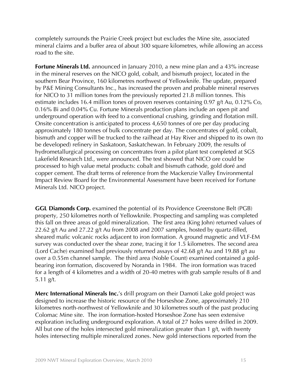completely surrounds the Prairie Creek project but excludes the Mine site, associated mineral claims and a buffer area of about 300 square kilometres, while allowing an access road to the site.

**Fortune Minerals Ltd.** announced in January 2010, a new mine plan and a 43% increase in the mineral reserves on the NICO gold, cobalt, and bismuth project, located in the southern Bear Province, 160 kilometres northwest of Yellowknife. The update, prepared by P&E Mining Consultants Inc., has increased the proven and probable mineral reserves for NICO to 31 million tones from the previously reported 21.8 million tonnes. This estimate includes 16.4 million tones of proven reserves containing 0.97 g/t Au, 0.12% Co, 0.16% Bi and 0.04% Cu. Fortune Minerals production plans include an open pit and underground operation with feed to a conventional crushing, grinding and flotation mill. Onsite concentration is anticipated to process 4,650 tonnes of ore per day producing approximately 180 tonnes of bulk concentrate per day. The concentrates of gold, cobalt, bismuth and copper will be trucked to the railhead at Hay River and shipped to its own (to be developed) refinery in Saskatoon, Saskatchewan. In February 2009, the results of hydrometallurgical processing on concentrates from a pilot plant test completed at SGS Lakefield Research Ltd., were announced. The test showed that NICO ore could be processed to high value metal products: cobalt and bismuth cathode, gold doré and copper cement. The draft terms of reference from the Mackenzie Valley Environmental Impact Review Board for the Environmental Assessment have been received for Fortune Minerals Ltd. NICO project.

**GGL Diamonds Corp.** examined the potential of its Providence Greenstone Belt (PGB) property, 250 kilometres north of Yellowknife. Prospecting and sampling was completed this fall on three areas of gold mineralization. The first area (King John) returned values of 22.62 g/t Au and 27.22 g/t Au from 2008 and 2007 samples, hosted by quartz-filled, sheared mafic volcanic rocks adjacent to iron formation. A ground magnetic and VLF-EM survey was conducted over the shear zone, tracing it for 1.5 kilometres. The second area (Lord Cache) examined had previously returned assays of 42.68 g/t Au and 19.88 g/t au over a 0.55m channel sample. The third area (Noble Count) examined contained a goldbearing iron formation, discovered by Noranda in 1984. The iron formation was traced for a length of 4 kilometres and a width of 20-40 metres with grab sample results of 8 and 5.11 g/t.

**Merc International Minerals Inc.**'s drill program on their Damoti Lake gold project was designed to increase the historic resource of the Horseshoe Zone, approximately 210 kilometres north-northwest of Yellowknife and 30 kilometres south of the past producing Colomac Mine site. The iron formation-hosted Horseshoe Zone has seen extensive exploration including underground exploration. A total of 27 holes were drilled in 2009. All but one of the holes intersected gold mineralization greater than 1 g/t, with twenty holes intersecting multiple mineralized zones. New gold intersections reported from the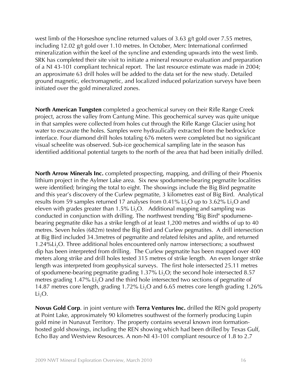west limb of the Horseshoe syncline returned values of 3.63 g/t gold over 7.55 metres, including 12.02 g/t gold over 1.10 metres. In October, Merc International confirmed mineralization within the keel of the syncline and extending upwards into the west limb. SRK has completed their site visit to initiate a mineral resource evaluation and preparation of a NI 43-101 compliant technical report. The last resource estimate was made in 2004; an approximate 63 drill holes will be added to the data set for the new study. Detailed ground magnetic, electromagnetic, and localized induced polarization surveys have been initiated over the gold mineralized zones.

**North American Tungsten** completed a geochemical survey on their Rifle Range Creek project, across the valley from Cantung Mine. This geochemical survey was quite unique in that samples were collected from holes cut through the Rifle Range Glacier using hot water to excavate the holes. Samples were hydraulically extracted from the bedrock/ice interface. Four diamond drill holes totaling 676 meters were completed but no significant visual scheelite was observed. Sub-ice geochemical sampling late in the season has identified additional potential targets to the north of the area that had been initially drilled.

**North Arrow Minerals Inc.** completed prospecting, mapping, and drilling of their Phoenix lithium project in the Aylmer Lake area. Six new spodumene-bearing pegmatite localities were identified; bringing the total to eight. The showings include the Big Bird pegmatite and this year's discovery of the Curlew pegmatite, 3 kilometres east of Big Bird. Analytical results from 59 samples returned 17 analyses from 0.41% Li<sub>2</sub>O up to 3.62% Li<sub>2</sub>O and eleven with grades greater than  $1.5\%$  Li<sub>2</sub>O. Additional mapping and sampling was conducted in conjunction with drilling. The northwest trending "Big Bird" spodumenebearing pegmatite dike has a strike length of at least 1,200 metres and widths of up to 40 metres. Seven holes (682m) tested the Big Bird and Curlew pegmatites. A drill intersection at Big Bird included 34.3metres of pegmatite and related felsites and aplite, and returned 1.24%Li<sub>2</sub>O. Three additional holes encountered only narrow intersections; a southwest dip has been interpreted from drilling. The Curlew pegmatite has been mapped over 400 meters along strike and drill holes tested 315 metres of strike length. An even longer strike length was interpreted from geophysical surveys. The first hole intersected 25.11 metres of spodumene-bearing pegmatite grading  $1.37\%$  Li<sub>2</sub>O; the second hole intersected 8.57 metres grading  $1.47\%$  Li<sub>2</sub>O and the third hole intersected two sections of pegmatite of 14.87 metres core length, grading  $1.72\%$  Li<sub>2</sub>O and 6.65 metres core length grading 1.26%  $Li<sub>2</sub>O$ .

**Novus Gold Corp**. in joint venture with **Terra Ventures Inc.** drilled the REN gold property at Point Lake, approximately 90 kilometres southwest of the formerly producing Lupin gold mine in Nunavut Territory. The property contains several known iron formationhosted gold showings, including the REN showing which had been drilled by Texas Gulf, Echo Bay and Westview Resources. A non-NI 43-101 compliant resource of 1.8 to 2.7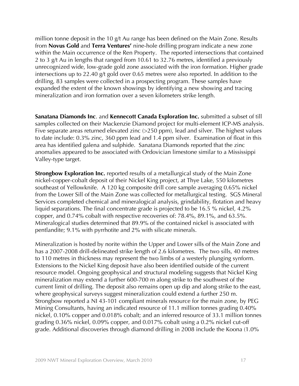million tonne deposit in the 10 g/t Au range has been defined on the Main Zone. Results from **Novus Gold** and **Terra Ventures'** nine-hole drilling program indicate a new zone within the Main occurrence of the Ren Property. The reported intersections that contained 2 to 3 g/t Au in lengths that ranged from 10.61 to 32.76 metres, identified a previously unrecognized wide, low-grade gold zone associated with the iron formation. Higher grade intersections up to 22.40 g/t gold over 0.65 metres were also reported. In addition to the drilling, 83 samples were collected in a prospecting program. These samples have expanded the extent of the known showings by identifying a new showing and tracing mineralization and iron formation over a seven kilometers strike length.

**Sanatana Diamonds Inc**. and **Kennecott Canada Exploration Inc.** submitted a subset of till samples collected on their Mackenzie Diamond project for multi-element ICP-MS analysis. Five separate areas returned elevated zinc (>250 ppm), lead and silver. The highest values to date include: 0.3% zinc, 360 ppm lead and 1.4 ppm silver. Examination of float in this area has identified galena and sulphide. Sanatana Diamonds reported that the zinc anomalies appeared to be associated with Ordovician limestone similar to a Mississippi Valley-type target.

**Strongbow Exploration Inc.** reported results of a metallurgical study of the Main Zone nickel-copper-cobalt deposit of their Nickel King project, at Thye Lake, 550 kilometres southeast of Yellowknife. A 120 kg composite drill core sample averaging 0.65% nickel from the Lower Sill of the Main Zone was collected for metallurgical testing. SGS Mineral Services completed chemical and mineralogical analysis, grindability, flotation and heavy liquid separations. The final concentrate grade is projected to be 16.5 % nickel, 4.2% copper, and 0.74% cobalt with respective recoveries of: 78.4%, 89.1%, and 63.5%. Mineralogical studies determined that 89.9% of the contained nickel is associated with pentlandite; 9.1% with pyrrhotite and 2% with silicate minerals.

Mineralization is hosted by norite within the Upper and Lower sills of the Main Zone and has a 2007-2008 drill-delineated strike length of 2.6 kilometres. The two sills, 40 metres to 110 metres in thickness may represent the two limbs of a westerly plunging synform. Extensions to the Nickel King deposit have also been identified outside of the current resource model. Ongoing geophysical and structural modeling suggests that Nickel King mineralization may extend a further 600-700 m along strike to the southwest of the current limit of drilling. The deposit also remains open up dip and along strike to the east, where geophysical surveys suggest mineralization could extend a further 250 m. Strongbow reported a NI 43-101 compliant minerals resource for the main zone, by PEG Mining Consultants, having an indicated resource of 11.1 million tonnes grading 0.40% nickel, 0.10% copper and 0.018% cobalt; and an inferred resource of 33.1 million tonnes grading 0.36% nickel, 0.09% copper, and 0.017% cobalt using a 0.2% nickel cut-off grade. Additional discoveries through diamond drilling in 2008 include the Koona (1.0%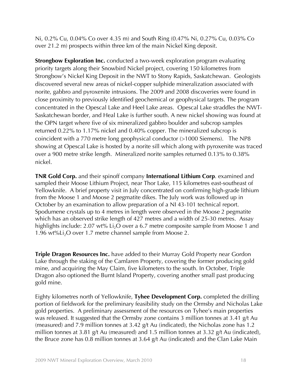Ni, 0.2% Cu, 0.04% Co over 4.35 m) and South Ring (0.47% Ni, 0.27% Cu, 0.03% Co over 21.2 m) prospects within three km of the main Nickel King deposit.

**Strongbow Exploration Inc.** conducted a two-week exploration program evaluating priority targets along their Snowbird Nickel project, covering 150 kilometres from Strongbow's Nickel King Deposit in the NWT to Stony Rapids, Saskatchewan. Geologists discovered several new areas of nickel-copper sulphide mineralization associated with norite, gabbro and pyroxenite intrusions. The 2009 and 2008 discoveries were found in close proximity to previously identified geochemical or geophysical targets. The program concentrated in the Opescal Lake and Heel Lake areas. Opescal Lake straddles the NWT-Saskatchewan border, and Heal Lake is further south. A new nickel showing was found at the OPN target where five of six mineralized gabbro boulder and subcrop samples returned 0.22% to 1.17% nickel and 0.40% copper. The mineralized subcrop is coincident with a 770 metre long geophysical conductor (>1000 Siemens). The NP8 showing at Opescal Lake is hosted by a norite sill which along with pyroxenite was traced over a 900 metre strike length. Mineralized norite samples returned 0.13% to 0.38% nickel.

**TNR Gold Corp.** and their spinoff company **International Lithium Corp**. examined and sampled their Moose Lithium Project, near Thor Lake, 115 kilometres east-southeast of Yellowknife. A brief property visit in July concentrated on confirming high-grade lithium from the Moose 1 and Moose 2 pegmatite dikes. The July work was followed up in October by an examination to allow preparation of a NI 43-101 technical report. Spodumene crystals up to 4 metres in length were observed in the Moose 2 pegmatite which has an observed strike length of 427 metres and a width of 25-30 metres. Assay highlights include:  $2.07 \text{ wt}$ % Li<sub>2</sub>O over a 6.7 metre composite sample from Moose 1 and 1.96 wt%Li<sub>2</sub>O over 1.7 metre channel sample from Moose 2.

**Triple Dragon Resources Inc.** have added to their Murray Gold Property near Gordon Lake through the staking of the Camlaren Property, covering the former producing gold mine, and acquiring the May Claim, five kilometers to the south. In October, Triple Dragon also optioned the Burnt Island Property, covering another small past producing gold mine.

Eighty kilometres north of Yellowknife, **Tyhee Development Corp.** completed the drilling portion of fieldwork for the preliminary feasibility study on the Ormsby and Nicholas Lake gold properties. A preliminary assessment of the resources on Tyhee's main properties was released. It suggested that the Ormsby zone contains 3 million tonnes at 3.41 g/t Au (measured) and 7.9 million tonnes at 3.42 g/t Au (indicated), the Nicholas zone has 1.2 million tonnes at 3.81 g/t Au (measured) and 1.5 million tonnes at 3.32 g/t Au (indicated), the Bruce zone has 0.8 million tonnes at 3.64 g/t Au (indicated) and the Clan Lake Main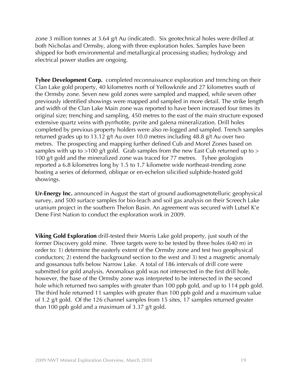zone 3 million tonnes at 3.64 g/t Au (indicated). Six geotechnical holes were drilled at both Nicholas and Ormsby, along with three exploration holes. Samples have been shipped for both environmental and metallurgical processing studies; hydrology and electrical power studies are ongoing.

**Tyhee Development Corp.** completed reconnaissance exploration and trenching on their Clan Lake gold property, 40 kilometres north of Yellowknife and 27 kilometres south of the Ormsby zone. Seven new gold zones were sampled and mapped, while seven other previously identified showings were mapped and sampled in more detail. The strike length and width of the Clan Lake Main zone was reported to have been increased four times its original size; trenching and sampling, 450 metres to the east of the main structure exposed extensive quartz veins with pyrrhotite, pyrite and galena mineralization. Drill holes completed by previous property holders were also re-logged and sampled. Trench samples returned grades up to 13.12 g/t Au over 10.0 metres including 48.8 g/t Au over two metres. The prospecting and mapping further defined Cub and Morel Zones based on samples with up to  $>100$  g/t gold. Grab samples from the new East Cub returned up to  $>$ 100 g/t gold and the mineralized zone was traced for 77 metres. Tyhee geologists reported a 6.8 kilometres long by 1.5 to 1.7 kilometre wide northeast-trending zone hosting a series of deformed, oblique or en-echelon silicified sulphide-hosted gold showings.

**Ur-Energy Inc.** announced in August the start of ground audiomagnetotelluric geophysical survey, and 500 surface samples for bio-leach and soil gas analysis on their Screech Lake uranium project in the southern Thelon Basin. An agreement was secured with Lutsel K'e Dene First Nation to conduct the exploration work in 2009.

**Viking Gold Exploration** drill-tested their Morris Lake gold property, just south of the former Discovery gold mine. Three targets were to be tested by three holes (640 m) in order to: 1) determine the easterly extent of the Ormsby zone and test two geophysical conductors; 2) extend the background section to the west and 3) test a magnetic anomaly and gossanous tuffs below Narrow Lake. A total of 186 intervals of drill core were submitted for gold analysis. Anomalous gold was not intersected in the first drill hole, however, the base of the Ormsby zone was interpreted to be intersected in the second hole which returned two samples with greater than 100 ppb gold, and up to 114 ppb gold. The third hole returned 11 samples with greater than 100 ppb gold and a maximum value of 1.2 g/t gold. Of the 126 channel samples from 15 sites, 17 samples returned greater than 100 ppb gold and a maximum of 3.37 g/t gold.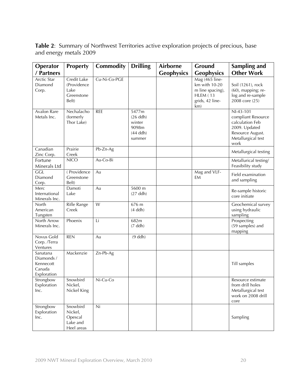**Table 2**: Summary of Northwest Territories active exploration projects of precious, base and energy metals 2009

| Operator                                                     | <b>Property</b>                                           | Commodity      | <b>Drilling</b>                                                | <b>Airborne</b>   | Ground                                                                                    | Sampling and                                                                                                          |
|--------------------------------------------------------------|-----------------------------------------------------------|----------------|----------------------------------------------------------------|-------------------|-------------------------------------------------------------------------------------------|-----------------------------------------------------------------------------------------------------------------------|
| / Partners                                                   |                                                           |                |                                                                | <b>Geophysics</b> | <b>Geophysics</b>                                                                         | <b>Other Work</b>                                                                                                     |
| <b>Arctic Star</b><br>Diamond<br>Corp.                       | Credit Lake<br>(Providence<br>Lake<br>Greenstone<br>Belt) | Cu-Ni-Co-PGE   |                                                                |                   | Mag (465 line-<br>km with 10-20<br>m line spacing),<br>HLEM (13<br>grids, 42 line-<br>km) | Soil (1261), rock<br>$(60)$ , mapping; re-<br>log and re-sample<br>2008 core (25)                                     |
| Avalon Rare<br>Metals Inc.                                   | Nechalacho<br>(formerly<br>Thor Lake)                     | <b>REE</b>     | 5477m<br>$(26$ ddh)<br>winter<br>9098m<br>$(44$ ddh)<br>summer |                   |                                                                                           | NI-43-101<br>compliant Resource<br>calculation Feb<br>2009. Updated<br>Resource August.<br>Metallurgical test<br>work |
| Canadian<br>Zinc Corp.                                       | Prairie<br>Creek                                          | Pb-Zn-Ag       |                                                                |                   |                                                                                           | Metallurgical testing                                                                                                 |
| Fortune<br>Minerals Ltd                                      | <b>NICO</b>                                               | Au-Co-Bi       |                                                                |                   |                                                                                           | Metallurical testing/<br>Feasibility study                                                                            |
| GGL<br>Diamond<br>Corp.                                      | (Providence)<br>Greenstone<br>Belt)                       | Au             |                                                                |                   | Mag and VLF-<br>EM                                                                        | Field examination<br>and sampling                                                                                     |
| Merc<br>International<br>Minerals Inc.                       | Damoti<br>Lake                                            | Au             | 5600 m<br>$(27$ ddh)                                           |                   |                                                                                           | Re-sample historic<br>core initiate                                                                                   |
| North<br>American<br>Tungsten                                | Rifle Range<br>Creek                                      | $\overline{W}$ | 676 m<br>$(4$ ddh $)$                                          |                   |                                                                                           | Geochemical survey<br>using hydraulic<br>sampling                                                                     |
| North Arrow<br>Minerals Inc.                                 | Phoenix                                                   | Li             | 682m<br>$(7$ ddh $)$                                           |                   |                                                                                           | Prospecting<br>(59 samples) and<br>mapping                                                                            |
| Novus Gold<br>Corp. /Terra<br>Ventures                       | <b>REN</b>                                                | Au             | $(9$ ddh)                                                      |                   |                                                                                           |                                                                                                                       |
| Sanatana<br>Diamonds /<br>Kennecott<br>Canada<br>Exploration | Mackenzie                                                 | Zn-Pb-Ag       |                                                                |                   |                                                                                           | Till samples                                                                                                          |
| Strongbow<br>Exploration<br>Inc.                             | Snowbird<br>Nickel,<br>Nickel King                        | Ni-Cu-Co       |                                                                |                   |                                                                                           | Resource estimate<br>from drill holes<br>Metallurgical test<br>work on 2008 drill<br>core                             |
| Strongbow<br>Exploration<br>Inc.                             | Snowbird<br>Nickel,<br>Opescal<br>Lake and<br>Heel areas  | Ni             |                                                                |                   |                                                                                           | Sampling                                                                                                              |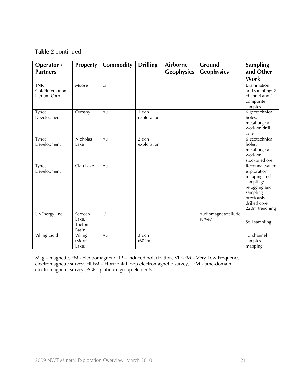#### **Table 2** continued

| Operator /<br><b>Partners</b>                     | <b>Property</b>                     | Commodity      | <b>Drilling</b>        | <b>Airborne</b><br><b>Geophysics</b> | Ground<br><b>Geophysics</b>    | <b>Sampling</b><br>and Other                                                                                                             |
|---------------------------------------------------|-------------------------------------|----------------|------------------------|--------------------------------------|--------------------------------|------------------------------------------------------------------------------------------------------------------------------------------|
|                                                   |                                     |                |                        |                                      |                                | Work                                                                                                                                     |
| <b>TNR</b><br>Gold/International<br>Lithium Corp. | Moose                               | Li             |                        |                                      |                                | Examination<br>and sampling: 2<br>channel and 2<br>composite<br>samples                                                                  |
| Tyhee<br>Development                              | Ormsby                              | Au             | $1$ ddh<br>exploration |                                      |                                | $6$ geotechnical<br>holes;<br>metallurgical<br>work on drill<br>core                                                                     |
| Tyhee<br>Development                              | Nicholas<br>Lake                    | Au             | $2$ ddh<br>exploration |                                      |                                | 6 geotechnical<br>holes;<br>metallurgical<br>work on<br>stockpiled ore                                                                   |
| Tyhee<br>Development                              | Clan Lake                           | Au             |                        |                                      |                                | Reconnaissance<br>exploration;<br>mapping and<br>sampling;<br>relogging and<br>sampling<br>previously<br>drilled core;<br>220m trenching |
| Ur-Energy Inc.                                    | Screech<br>Lake,<br>Thelon<br>Basin | $\overline{U}$ |                        |                                      | Audiomagnetotelluric<br>survey | Soil sampling                                                                                                                            |
| <b>Viking Gold</b>                                | Viking<br>(Morris<br>Lake)          | Au             | 3 ddh<br>(604m)        |                                      |                                | 15 channel<br>samples,<br>mapping                                                                                                        |

Mag – magnetic, EM - electromagnetic, IP – induced polarization, VLF-EM – Very Low Frequency electromagnetic survey, HLEM – Horizontal loop electromagnetic survey, TEM - time-domain electromagnetic survey, PGE - platinum group elements